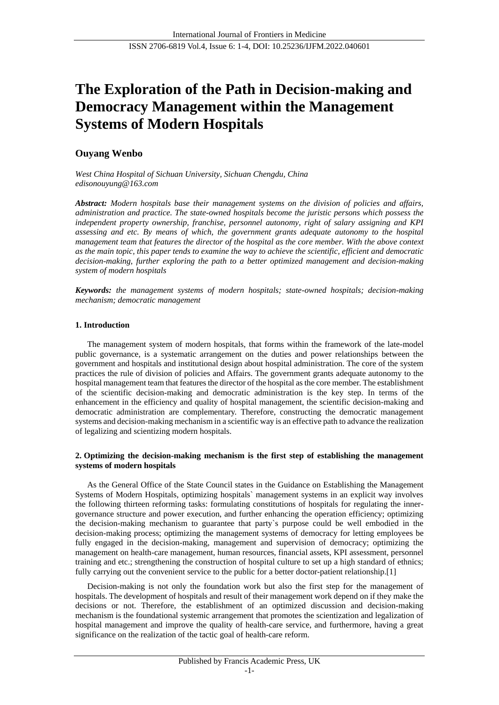# **The Exploration of the Path in Decision-making and Democracy Management within the Management Systems of Modern Hospitals**

# **Ouyang Wenbo**

*West China Hospital of Sichuan University, Sichuan Chengdu, China edisonouyung@163.com*

*Abstract: Modern hospitals base their management systems on the division of policies and affairs, administration and practice. The state-owned hospitals become the juristic persons which possess the independent property ownership, franchise, personnel autonomy, right of salary assigning and KPI assessing and etc. By means of which, the government grants adequate autonomy to the hospital management team that features the director of the hospital as the core member. With the above context as the main topic, this paper tends to examine the way to achieve the scientific, efficient and democratic decision-making, further exploring the path to a better optimized management and decision-making system of modern hospitals*

*Keywords: the management systems of modern hospitals; state-owned hospitals; decision-making mechanism; democratic management*

# **1. Introduction**

The management system of modern hospitals, that forms within the framework of the late-model public governance, is a systematic arrangement on the duties and power relationships between the government and hospitals and institutional design about hospital administration. The core of the system practices the rule of division of policies and Affairs. The government grants adequate autonomy to the hospital management team that features the director of the hospital as the core member. The establishment of the scientific decision-making and democratic administration is the key step. In terms of the enhancement in the efficiency and quality of hospital management, the scientific decision-making and democratic administration are complementary. Therefore, constructing the democratic management systems and decision-making mechanism in a scientific way is an effective path to advance the realization of legalizing and scientizing modern hospitals.

## **2. Optimizing the decision-making mechanism is the first step of establishing the management systems of modern hospitals**

As the General Office of the State Council states in the Guidance on Establishing the Management Systems of Modern Hospitals, optimizing hospitals` management systems in an explicit way involves the following thirteen reforming tasks: formulating constitutions of hospitals for regulating the innergovernance structure and power execution, and further enhancing the operation efficiency; optimizing the decision-making mechanism to guarantee that party`s purpose could be well embodied in the decision-making process; optimizing the management systems of democracy for letting employees be fully engaged in the decision-making, management and supervision of democracy; optimizing the management on health-care management, human resources, financial assets, KPI assessment, personnel training and etc.; strengthening the construction of hospital culture to set up a high standard of ethnics; fully carrying out the convenient service to the public for a better doctor-patient relationship.[1]

Decision-making is not only the foundation work but also the first step for the management of hospitals. The development of hospitals and result of their management work depend on if they make the decisions or not. Therefore, the establishment of an optimized discussion and decision-making mechanism is the foundational systemic arrangement that promotes the scientization and legalization of hospital management and improve the quality of health-care service, and furthermore, having a great significance on the realization of the tactic goal of health-care reform.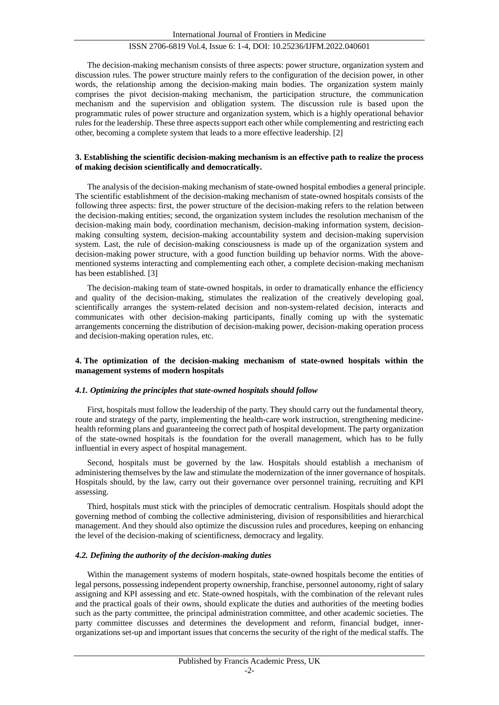# ISSN 2706-6819 Vol.4, Issue 6: 1-4, DOI: 10.25236/IJFM.2022.040601

The decision-making mechanism consists of three aspects: power structure, organization system and discussion rules. The power structure mainly refers to the configuration of the decision power, in other words, the relationship among the decision-making main bodies. The organization system mainly comprises the pivot decision-making mechanism, the participation structure, the communication mechanism and the supervision and obligation system. The discussion rule is based upon the programmatic rules of power structure and organization system, which is a highly operational behavior rules for the leadership. These three aspects support each other while complementing and restricting each other, becoming a complete system that leads to a more effective leadership. [2]

# **3. Establishing the scientific decision-making mechanism is an effective path to realize the process of making decision scientifically and democratically.**

The analysis of the decision-making mechanism of state-owned hospital embodies a general principle. The scientific establishment of the decision-making mechanism of state-owned hospitals consists of the following three aspects: first, the power structure of the decision-making refers to the relation between the decision-making entities; second, the organization system includes the resolution mechanism of the decision-making main body, coordination mechanism, decision-making information system, decisionmaking consulting system, decision-making accountability system and decision-making supervision system. Last, the rule of decision-making consciousness is made up of the organization system and decision-making power structure, with a good function building up behavior norms. With the abovementioned systems interacting and complementing each other, a complete decision-making mechanism has been established. [3]

The decision-making team of state-owned hospitals, in order to dramatically enhance the efficiency and quality of the decision-making, stimulates the realization of the creatively developing goal, scientifically arranges the system-related decision and non-system-related decision, interacts and communicates with other decision-making participants, finally coming up with the systematic arrangements concerning the distribution of decision-making power, decision-making operation process and decision-making operation rules, etc.

# **4. The optimization of the decision-making mechanism of state-owned hospitals within the management systems of modern hospitals**

## *4.1. Optimizing the principles that state-owned hospitals should follow*

First, hospitals must follow the leadership of the party. They should carry out the fundamental theory, route and strategy of the party, implementing the health-care work instruction, strengthening medicinehealth reforming plans and guaranteeing the correct path of hospital development. The party organization of the state-owned hospitals is the foundation for the overall management, which has to be fully influential in every aspect of hospital management.

Second, hospitals must be governed by the law. Hospitals should establish a mechanism of administering themselves by the law and stimulate the modernization of the inner governance of hospitals. Hospitals should, by the law, carry out their governance over personnel training, recruiting and KPI assessing.

Third, hospitals must stick with the principles of democratic centralism. Hospitals should adopt the governing method of combing the collective administering, division of responsibilities and hierarchical management. And they should also optimize the discussion rules and procedures, keeping on enhancing the level of the decision-making of scientificness, democracy and legality.

## *4.2. Defining the authority of the decision-making duties*

Within the management systems of modern hospitals, state-owned hospitals become the entities of legal persons, possessing independent property ownership, franchise, personnel autonomy, right of salary assigning and KPI assessing and etc. State-owned hospitals, with the combination of the relevant rules and the practical goals of their owns, should explicate the duties and authorities of the meeting bodies such as the party committee, the principal administration committee, and other academic societies. The party committee discusses and determines the development and reform, financial budget, innerorganizations set-up and important issues that concerns the security of the right of the medical staffs. The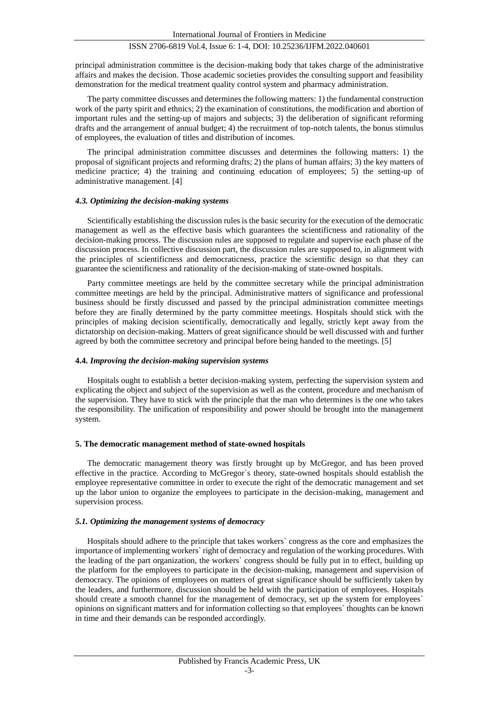# ISSN 2706-6819 Vol.4, Issue 6: 1-4, DOI: 10.25236/IJFM.2022.040601

principal administration committee is the decision-making body that takes charge of the administrative affairs and makes the decision. Those academic societies provides the consulting support and feasibility demonstration for the medical treatment quality control system and pharmacy administration.

The party committee discusses and determines the following matters: 1) the fundamental construction work of the party spirit and ethnics; 2) the examination of constitutions, the modification and abortion of important rules and the setting-up of majors and subjects; 3) the deliberation of significant reforming drafts and the arrangement of annual budget; 4) the recruitment of top-notch talents, the bonus stimulus of employees, the evaluation of titles and distribution of incomes.

The principal administration committee discusses and determines the following matters: 1) the proposal of significant projects and reforming drafts; 2) the plans of human affairs; 3) the key matters of medicine practice; 4) the training and continuing education of employees; 5) the setting-up of administrative management. [4]

#### *4.3. Optimizing the decision-making systems*

Scientifically establishing the discussion rules is the basic security for the execution of the democratic management as well as the effective basis which guarantees the scientificness and rationality of the decision-making process. The discussion rules are supposed to regulate and supervise each phase of the discussion process. In collective discussion part, the discussion rules are supposed to, in alignment with the principles of scientificness and democraticness, practice the scientific design so that they can guarantee the scientificness and rationality of the decision-making of state-owned hospitals.

Party committee meetings are held by the committee secretary while the principal administration committee meetings are held by the principal. Administrative matters of significance and professional business should be firstly discussed and passed by the principal administration committee meetings before they are finally determined by the party committee meetings. Hospitals should stick with the principles of making decision scientifically, democratically and legally, strictly kept away from the dictatorship on decision-making. Matters of great significance should be well discussed with and further agreed by both the committee secretory and principal before being handed to the meetings. [5]

## **4.4.** *Improving the decision-making supervision systems*

Hospitals ought to establish a better decision-making system, perfecting the supervision system and explicating the object and subject of the supervision as well as the content, procedure and mechanism of the supervision. They have to stick with the principle that the man who determines is the one who takes the responsibility. The unification of responsibility and power should be brought into the management system.

#### **5. The democratic management method of state-owned hospitals**

The democratic management theory was firstly brought up by McGregor, and has been proved effective in the practice. According to McGregor`s theory, state-owned hospitals should establish the employee representative committee in order to execute the right of the democratic management and set up the labor union to organize the employees to participate in the decision-making, management and supervision process.

# *5.1. Optimizing the management systems of democracy*

Hospitals should adhere to the principle that takes workers` congress as the core and emphasizes the importance of implementing workers` right of democracy and regulation of the working procedures. With the leading of the part organization, the workers` congress should be fully put in to effect, building up the platform for the employees to participate in the decision-making, management and supervision of democracy. The opinions of employees on matters of great significance should be sufficiently taken by the leaders, and furthermore, discussion should be held with the participation of employees. Hospitals should create a smooth channel for the management of democracy, set up the system for employees` opinions on significant matters and for information collecting so that employees` thoughts can be known in time and their demands can be responded accordingly.